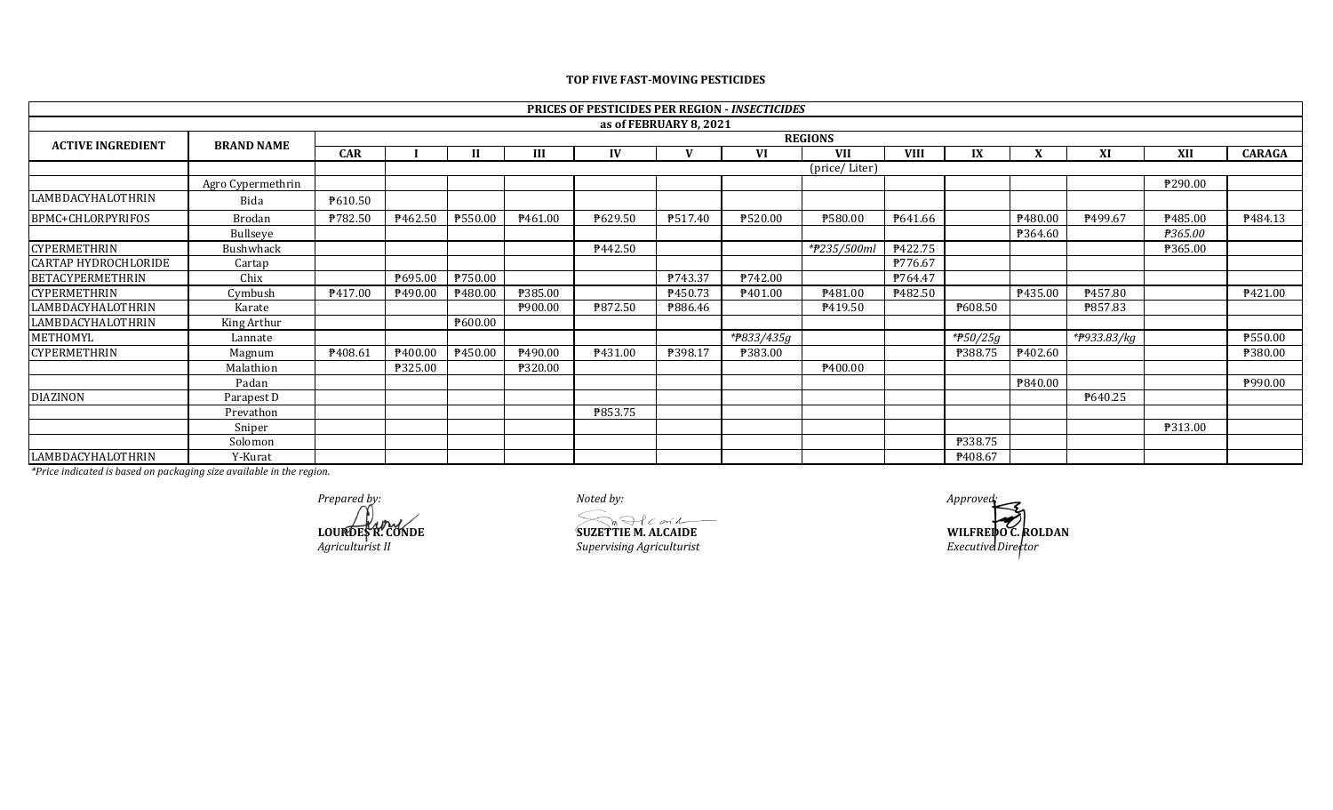## **CAR I II III IV V VI VII VIII IX X XI XII CARAGA** Agro Cypermethrin ₱290.00 LAMBDACYHALOTHRIN Bida ₱610.50 BPMC+CHLORPYRIFOS | Brodan | ₱782.50 | ₱462.50 | ₱550.00 | ₱461.00 | ₱629.50 | ₱517.40 | ₱520.00 | ₱641.66 | | ₱480.00 | ₱499.67 | ₱485.00 | ₱484.13 Bullseye ₱364.60 *₱365.00* CYPERMETHRIN Bushwhack ₱442.50 *\*₱235/500ml* ₱422.75 ₱365.00 CARTAP HYDROCHLORIDE Cartap Cartap **and Cartap and Cartap and Cartap example 1 P**776.67 BETACYPERMETHRIN Chix BETACYPERMETHRIN Chix BETACYPERMETHRIN BETACYPERMETHRIN BETACYPERMETHRIN BETACYPERMETHRIN CYPERMETHRIN Cymbush ₱417.00 ₱480.00 ₱480.00 ₱385.00 ₱ 199.00 ₱480.00 ₱450.73 ₱481.00 ₱435.00 LAMBDACYHALOTHRIN Karate ₱900.00 ₱872.50 ₱886.46 ₱419.50 ₱608.50 ₱857.83 LAMBDACYHALOTHRIN King Arthur ₱600.00 METHOMYL Lannate *\*₱833/435g \*₱50/25g \*₱933.83/kg* ₱550.00 CYPERMETHRIN | Magnum | ₱408.61 | ₱400.00 | ₱450.00 | ₱490.00 | ₱398.17 | ₱383.00 | │ │ │ ₱388.75 | ₱402.60 | │ │ │ ₱380.00 Malathion | ₱325.00 | ₱320.00 | | | | | | | | | Padan ₱840.00 ₱990.00 DIAZINON Parapest D ₱640.25 Prevathon ₱853.75 Sniper ₱313.00 Solomon ₱338.75 LAMBDACYHALOTHRIN Y-Kurat ₱408.67  **PRICES OF PESTICIDES PER REGION -** *INSECTICIDES* **as of FEBRUARY 8, 2021 ACTIVE INGREDIENT** (price/ Liter) **REGIONS BRAND NAME**

**TOP FIVE FAST-MOVING PESTICIDES**

*\*Price indicated is based on packaging size available in the region.*

*Prepared by: Noted by: Approved:*

 $S_n$ Ilconic **LOURDES R. CONDE SUZETTIE M. ALCAIDE SUZETTIE M. ALCAIDE WILFREDO C. ROLDAN** 

*Agriculturist II Supervising Agriculturist Executive Director*

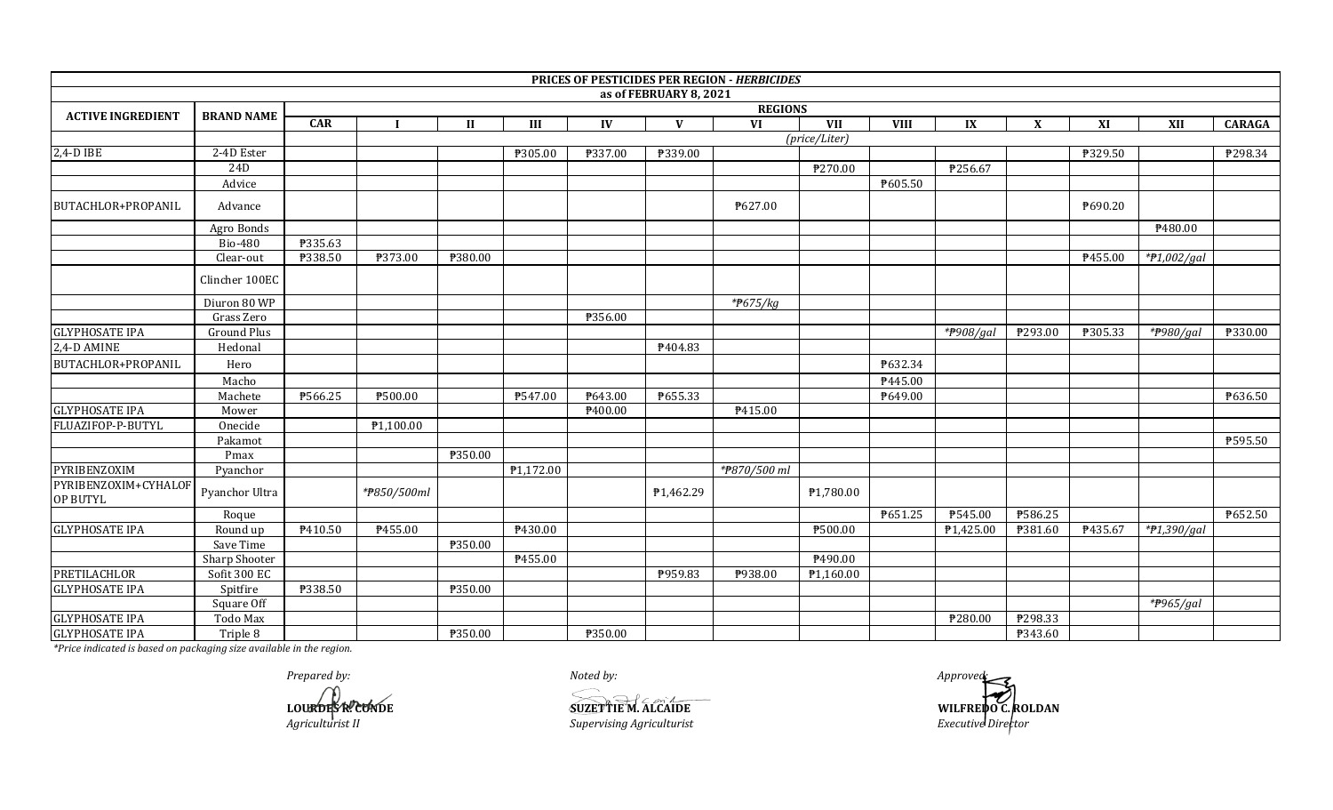|                                  |                   |         |                        |              |           |         |                        | PRICES OF PESTICIDES PER REGION - HERBICIDES |                        |             |                         |                           |         |                         |               |  |  |
|----------------------------------|-------------------|---------|------------------------|--------------|-----------|---------|------------------------|----------------------------------------------|------------------------|-------------|-------------------------|---------------------------|---------|-------------------------|---------------|--|--|
|                                  |                   |         |                        |              |           |         | as of FEBRUARY 8, 2021 |                                              |                        |             |                         |                           |         |                         |               |  |  |
| <b>ACTIVE INGREDIENT</b>         | <b>BRAND NAME</b> |         | <b>REGIONS</b>         |              |           |         |                        |                                              |                        |             |                         |                           |         |                         |               |  |  |
|                                  |                   | CAR     |                        | $\mathbf{I}$ | $\rm III$ | IV      | $\mathbf{V}$           | <b>VI</b>                                    | <b>VII</b>             | <b>VIII</b> | $\mathbf{I} \mathbf{X}$ | $\boldsymbol{\mathrm{X}}$ | XI      | XII                     | <b>CARAGA</b> |  |  |
|                                  |                   |         |                        |              |           |         |                        |                                              | (price/Liter)          |             |                         |                           |         |                         |               |  |  |
| $2,4-D$ IBE                      | 2-4D Ester        |         |                        |              | ₱305.00   | ₱337.00 | ₱339.00                |                                              |                        |             |                         |                           | ₱329.50 |                         | P298.34       |  |  |
|                                  | 24D               |         |                        |              |           |         |                        |                                              | ₱270.00                |             | P256.67                 |                           |         |                         |               |  |  |
|                                  | Advice            |         |                        |              |           |         |                        |                                              |                        | P605.50     |                         |                           |         |                         |               |  |  |
| BUTACHLOR+PROPANIL               | Advance           |         |                        |              |           |         |                        | P627.00                                      |                        |             |                         |                           | ₱690.20 |                         |               |  |  |
|                                  | Agro Bonds        |         |                        |              |           |         |                        |                                              |                        |             |                         |                           |         | P480.00                 |               |  |  |
|                                  | <b>Bio-480</b>    | ₱335.63 |                        |              |           |         |                        |                                              |                        |             |                         |                           |         |                         |               |  |  |
|                                  | Clear-out         | ₱338.50 | ₱373.00                | ₱380.00      |           |         |                        |                                              |                        |             |                         |                           | P455.00 | $*P1,002/gal$           |               |  |  |
|                                  | Clincher 100EC    |         |                        |              |           |         |                        |                                              |                        |             |                         |                           |         |                         |               |  |  |
|                                  | Diuron 80 WP      |         |                        |              |           |         |                        | * $#675/kg$                                  |                        |             |                         |                           |         |                         |               |  |  |
|                                  | Grass Zero        |         |                        |              |           | ₱356.00 |                        |                                              |                        |             |                         |                           |         |                         |               |  |  |
| <b>GLYPHOSATE IPA</b>            | Ground Plus       |         |                        |              |           |         |                        |                                              |                        |             | * $P908/gal$            | ₱293.00                   | ₱305.33 | *#980/gal               | ₱330.00       |  |  |
| 2,4-D AMINE                      | Hedonal           |         |                        |              |           |         | ₱404.83                |                                              |                        |             |                         |                           |         |                         |               |  |  |
| <b>BUTACHLOR+PROPANIL</b>        | Hero              |         |                        |              |           |         |                        |                                              |                        | ₱632.34     |                         |                           |         |                         |               |  |  |
|                                  | Macho             |         |                        |              |           |         |                        |                                              |                        | ₱445.00     |                         |                           |         |                         |               |  |  |
|                                  | Machete           | ₱566.25 | ₱500.00                |              | P547.00   | P643.00 | P655.33                |                                              |                        | ₱649.00     |                         |                           |         |                         | ₱636.50       |  |  |
| <b>GLYPHOSATE IPA</b>            | Mower             |         |                        |              |           | P400.00 |                        | P415.00                                      |                        |             |                         |                           |         |                         |               |  |  |
| FLUAZIFOP-P-BUTYL                | Onecide           |         | $\overline{P1,100.00}$ |              |           |         |                        |                                              |                        |             |                         |                           |         |                         |               |  |  |
|                                  | Pakamot           |         |                        |              |           |         |                        |                                              |                        |             |                         |                           |         |                         | ₱595.50       |  |  |
|                                  | Pmax              |         |                        | ₱350.00      |           |         |                        |                                              |                        |             |                         |                           |         |                         |               |  |  |
| PYRIBENZOXIM                     | Pyanchor          |         |                        |              | P1,172.00 |         |                        | *#870/500 ml                                 |                        |             |                         |                           |         |                         |               |  |  |
| PYRIBENZOXIM+CYHALOF<br>OP BUTYL | Pyanchor Ultra    |         | *#850/500ml            |              |           |         | P1,462.29              |                                              | ₱1,780.00              |             |                         |                           |         |                         |               |  |  |
|                                  | Roque             |         |                        |              |           |         |                        |                                              |                        | P651.25     | ₱545.00                 | ₱586.25                   |         |                         | P652.50       |  |  |
| <b>GLYPHOSATE IPA</b>            | Round up          | P410.50 | P455.00                |              | ₱430.00   |         |                        |                                              | ₱500.00                |             | ₱1,425.00               | P381.60                   | ₱435.67 | $*$ <i>†1,390/gal</i>   |               |  |  |
|                                  | Save Time         |         |                        | ₱350.00      |           |         |                        |                                              |                        |             |                         |                           |         |                         |               |  |  |
|                                  | Sharp Shooter     |         |                        |              | ₱455.00   |         |                        |                                              | P490.00                |             |                         |                           |         |                         |               |  |  |
| <b>PRETILACHLOR</b>              | Sofit 300 EC      |         |                        |              |           |         | ₱959.83                | P938.00                                      | P <sub>1</sub> ,160.00 |             |                         |                           |         |                         |               |  |  |
| <b>GLYPHOSATE IPA</b>            | Spitfire          | ₱338.50 |                        | P350.00      |           |         |                        |                                              |                        |             |                         |                           |         |                         |               |  |  |
|                                  | Square Off        |         |                        |              |           |         |                        |                                              |                        |             |                         |                           |         | $*$ <sup>965</sup> /gal |               |  |  |
| <b>GLYPHOSATE IPA</b>            | Todo Max          |         |                        |              |           |         |                        |                                              |                        |             | ₱280.00                 | ₱298.33                   |         |                         |               |  |  |
| <b>GLYPHOSATE IPA</b>            | Triple 8          |         |                        | P350.00      |           | P350.00 |                        |                                              |                        |             |                         | P343.60                   |         |                         |               |  |  |

*Prepared by: Noted by: Approved:*

**LOURDES R. CONDE**<br>Agriculturist II

 $Superving$  *Agriculturist* 

**SUZETTIE M. ALCAIDE**<br> **SUZETTIE M. ALCAIDE**<br> *Supervising Agriculturist*<br> *Supervising Agriculturist*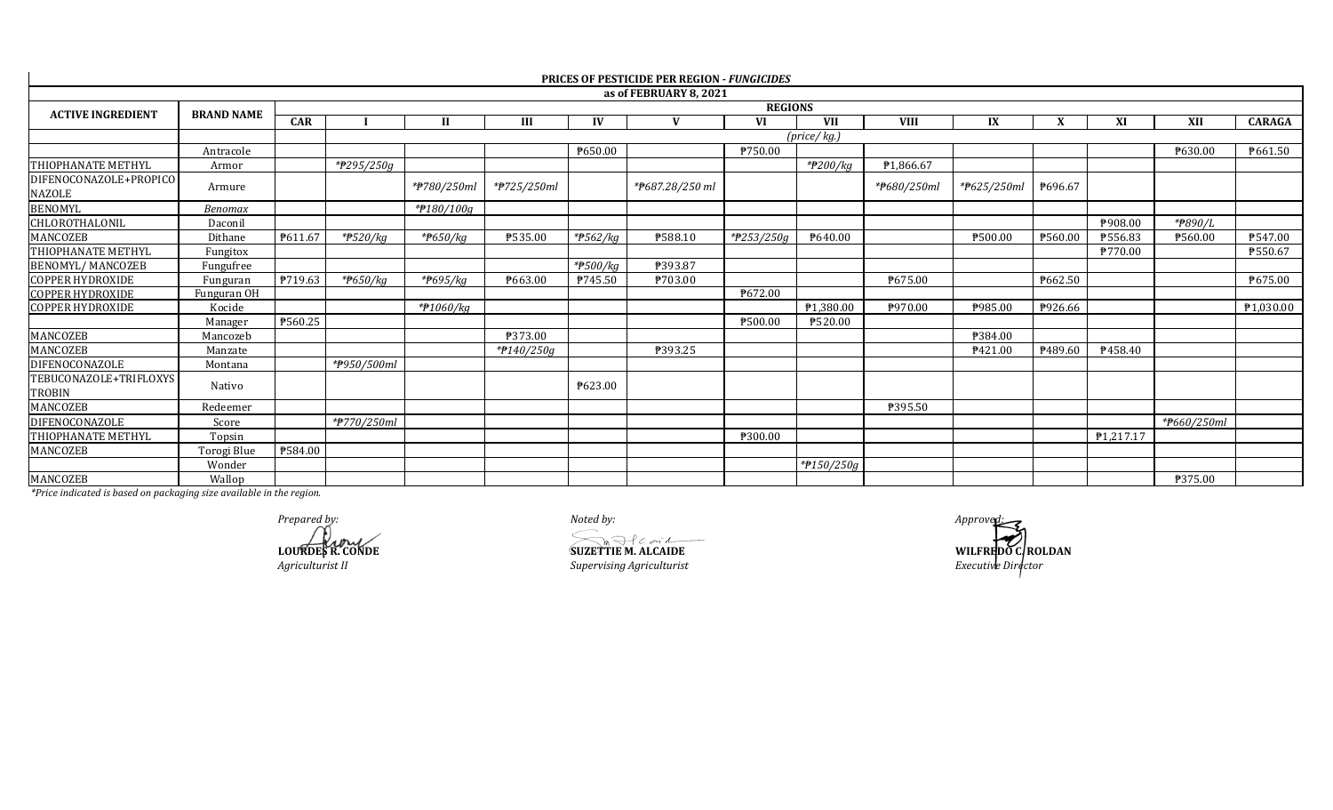|                                         |                   |            |                         |                       |             |                         | <b>PRICES OF PESTICIDE PER REGION - FUNGICIDES</b> |                       |             |             |             |         |           |             |               |
|-----------------------------------------|-------------------|------------|-------------------------|-----------------------|-------------|-------------------------|----------------------------------------------------|-----------------------|-------------|-------------|-------------|---------|-----------|-------------|---------------|
|                                         |                   |            |                         |                       |             |                         | as of FEBRUARY 8, 2021                             |                       |             |             |             |         |           |             |               |
| <b>ACTIVE INGREDIENT</b>                | <b>BRAND NAME</b> |            |                         |                       |             |                         |                                                    | <b>REGIONS</b>        |             |             |             |         |           |             |               |
|                                         |                   | <b>CAR</b> |                         | <b>II</b>             | Ш           | IV                      | $\mathbf{V}$                                       | VI                    | <b>VII</b>  | <b>VIII</b> | IX          |         | XI        | XII         | <b>CARAGA</b> |
|                                         |                   |            |                         |                       |             |                         |                                                    |                       | (price/kg.) |             |             |         |           |             |               |
|                                         | Antracole         |            |                         |                       |             | ₱650.00                 |                                                    | P750.00               |             |             |             |         |           | ₹630.00     | ₱661.50       |
| <b>THIOPHANATE METHYL</b>               | Armor             |            | *#295/250g              |                       |             |                         |                                                    |                       | *#200/kg    | ₹1.866.67   |             |         |           |             |               |
| DIFENOCONAZOLE+PROPICO<br><b>NAZOLE</b> | Armure            |            |                         | *#780/250ml           | *#725/250ml |                         | *#687.28/250 ml                                    |                       |             | *#680/250ml | *#625/250ml | P696.67 |           |             |               |
| <b>BENOMYL</b>                          | Benomax           |            |                         | *#180/100g            |             |                         |                                                    |                       |             |             |             |         |           |             |               |
| CHLOROTHALONIL                          | Daconil           |            |                         |                       |             |                         |                                                    |                       |             |             |             |         | ₱908.00   | *#890/L     |               |
| MANCOZEB                                | Dithane           | P611.67    | $*$ <del>P</del> 520/kg | * <del>P</del> 650/kg | P535.00     | $*$ <del>P</del> 562/kg | P588.10                                            | $*$ <b>P</b> 253/250g | P640.00     |             | ₱500.00     | ₱560.00 | ₱556.83   | P560.00     | P547.00       |
| THIOPHANATE METHYL                      | Fungitox          |            |                         |                       |             |                         |                                                    |                       |             |             |             |         | ₱770.00   |             | ₱550.67       |
| <b>BENOMYL/MANCOZEB</b>                 | Fungufree         |            |                         |                       |             | * <del>P</del> 500/kg   | ₱393.87                                            |                       |             |             |             |         |           |             |               |
| <b>COPPER HYDROXIDE</b>                 | Funguran          | P719.63    | *#650/kg                | * <del>P</del> 695/kg | ₹663.00     | P745.50                 | P703.00                                            |                       |             | P675.00     |             | ₱662.50 |           |             | P675.00       |
| <b>COPPER HYDROXIDE</b>                 | Funguran OH       |            |                         |                       |             |                         |                                                    | P672.00               |             |             |             |         |           |             |               |
| <b>COPPER HYDROXIDE</b>                 | Kocide            |            |                         | *#1060/kg             |             |                         |                                                    |                       | P1,380.00   | ₱970.00     | ₱985.00     | P926.66 |           |             | P1,030.00     |
|                                         | Manager           | P560.25    |                         |                       |             |                         |                                                    | ₱500.00               | ₱520.00     |             |             |         |           |             |               |
| MANCOZEB                                | Mancozeb          |            |                         |                       | ₹373.00     |                         |                                                    |                       |             |             | ₱384.00     |         |           |             |               |
| MANCOZEB                                | Manzate           |            |                         |                       | *#140/250g  |                         | P393.25                                            |                       |             |             | P421.00     | P489.60 | P458.40   |             |               |
| <b>DIFENOCONAZOLE</b>                   | Montana           |            | *#950/500ml             |                       |             |                         |                                                    |                       |             |             |             |         |           |             |               |
| TEBUCONAZOLE+TRIFLOXYS<br><b>TROBIN</b> | Nativo            |            |                         |                       |             | P623.00                 |                                                    |                       |             |             |             |         |           |             |               |
| MANCOZEB                                | Redeemer          |            |                         |                       |             |                         |                                                    |                       |             | ₹395.50     |             |         |           |             |               |
| <b>DIFENOCONAZOLE</b>                   | Score             |            | *#770/250ml             |                       |             |                         |                                                    |                       |             |             |             |         |           | *#660/250ml |               |
| THIOPHANATE METHYL                      | Topsin            |            |                         |                       |             |                         |                                                    | ₱300.00               |             |             |             |         | P1,217.17 |             |               |
| MANCOZEB                                | Torogi Blue       | ₱584.00    |                         |                       |             |                         |                                                    |                       |             |             |             |         |           |             |               |
|                                         | Wonder            |            |                         |                       |             |                         |                                                    |                       | *#150/250g  |             |             |         |           |             |               |
| MANCOZEB                                | Wallop            |            |                         |                       |             |                         |                                                    |                       |             |             |             |         |           | P375.00     |               |

*Prepared by:*<br> *Approved:*<br> **Approved:**<br> **Approved:**<br> **SUZETTIE M. ALCAIDE**<br> **SUZETTIE M. ALCAIDE**<br> **WILFRED** 

 $Superving$  *Agriculturist* 

**LOURDES R. CONDE**<br> **LOURDES R. CONDE**<br> *SUZETTIE M. ALCAIDE*<br> *Supervising Agriculturist*<br> *Executive Director*<br> *Executive Director*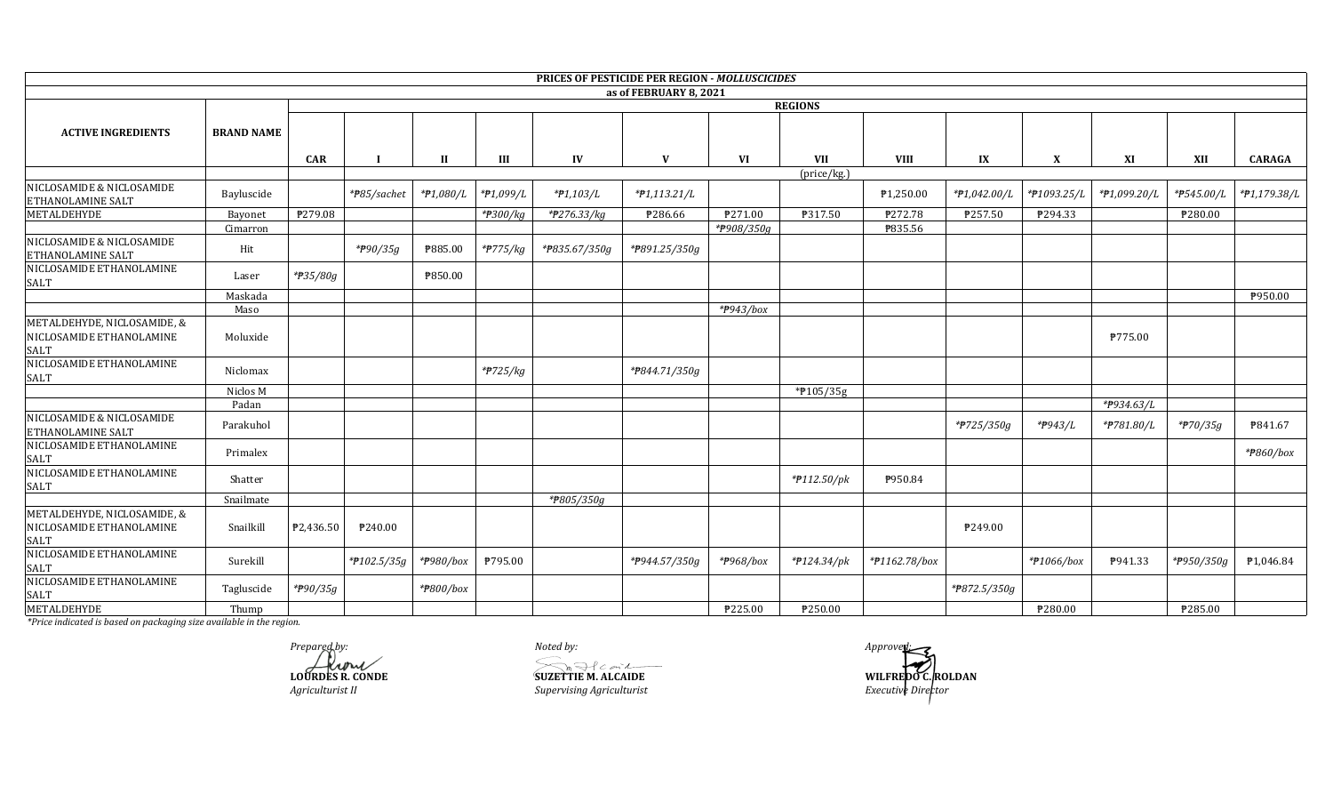|                                                                        |                   |            |                        |                        |                         |               | PRICES OF PESTICIDE PER REGION - MOLLUSCICIDES |                        |                        |               |              |                      |              |            |              |
|------------------------------------------------------------------------|-------------------|------------|------------------------|------------------------|-------------------------|---------------|------------------------------------------------|------------------------|------------------------|---------------|--------------|----------------------|--------------|------------|--------------|
|                                                                        |                   |            |                        |                        |                         |               | as of FEBRUARY 8, 2021                         |                        |                        |               |              |                      |              |            |              |
|                                                                        |                   |            |                        |                        |                         |               |                                                |                        | <b>REGIONS</b>         |               |              |                      |              |            |              |
| <b>ACTIVE INGREDIENTS</b>                                              | <b>BRAND NAME</b> |            |                        |                        |                         |               |                                                |                        |                        |               |              |                      |              |            |              |
|                                                                        |                   | <b>CAR</b> |                        | <b>II</b>              | Ш                       | IV            | V                                              | VI                     | <b>VII</b>             | <b>VIII</b>   | IX           | X                    | XI           | XII        | CARAGA       |
|                                                                        |                   |            |                        |                        |                         |               |                                                |                        | (price/kg.)            |               |              |                      |              |            |              |
| NICLOSAMIDE & NICLOSAMIDE<br>ETHANOLAMINE SALT                         | Bayluscide        |            | *#85/sachet            | *#1,080/L              | *#1,099/L               | *#1,103/L     | $*P1,113.21/L$                                 |                        |                        | ₱1,250.00     | *P1,042.00/L | *#1093.25/L          | *#1,099.20/L | *P545.00/L | *#1,179.38/L |
| METALDEHYDE                                                            | Bayonet           | P279.08    |                        |                        | *#300/kg                | *#276.33/kg   | ₱286.66                                        | ₱271.00                | P317.50                | ₱272.78       | ₱257.50      | ₱294.33              |              | ₱280.00    |              |
|                                                                        | Cimarron          |            |                        |                        |                         |               |                                                | *#908/350g             |                        | ₱835.56       |              |                      |              |            |              |
| NICLOSAMIDE & NICLOSAMIDE<br>ETHANOLAMINE SALT                         | Hit               |            | * <del>P</del> 90/35g  | ₱885.00                | $*$ <del>P</del> 775/kg | *#835.67/350g | *P891.25/350g                                  |                        |                        |               |              |                      |              |            |              |
| NICLOSAMIDE ETHANOLAMINE<br>SALT                                       | Laser             | *#35/80g   |                        | ₱850.00                |                         |               |                                                |                        |                        |               |              |                      |              |            |              |
|                                                                        | Maskada           |            |                        |                        |                         |               |                                                |                        |                        |               |              |                      |              |            | ₱950.00      |
|                                                                        | Maso              |            |                        |                        |                         |               |                                                | *#943/box              |                        |               |              |                      |              |            |              |
| METALDEHYDE, NICLOSAMIDE, &<br>NICLOSAMIDE ETHANOLAMINE<br><b>SALT</b> | Moluxide          |            |                        |                        |                         |               |                                                |                        |                        |               |              |                      | ₱775.00      |            |              |
| NICLOSAMIDE ETHANOLAMINE<br>SALT                                       | Niclomax          |            |                        |                        | *#725/kg                |               | *P844.71/350g                                  |                        |                        |               |              |                      |              |            |              |
|                                                                        | Niclos M          |            |                        |                        |                         |               |                                                |                        | *P105/35g              |               |              |                      |              |            |              |
|                                                                        | Padan             |            |                        |                        |                         |               |                                                |                        |                        |               |              |                      | *#934.63/L   |            |              |
| NICLOSAMIDE & NICLOSAMIDE<br>ETHANOLAMINE SALT                         | Parakuhol         |            |                        |                        |                         |               |                                                |                        |                        |               | *#725/350g   | * <del>P</del> 943/L | *#781.80/L   | *#70/35g   | ₱841.67      |
| NICLOSAMIDE ETHANOLAMINE<br>SALT                                       | Primalex          |            |                        |                        |                         |               |                                                |                        |                        |               |              |                      |              |            | *#860/box    |
| NICLOSAMIDE ETHANOLAMINE<br>SALT                                       | Shatter           |            |                        |                        |                         |               |                                                |                        | $*$ #112.50/pk         | P950.84       |              |                      |              |            |              |
|                                                                        | Snailmate         |            |                        |                        |                         | *#805/350g    |                                                |                        |                        |               |              |                      |              |            |              |
| METALDEHYDE, NICLOSAMIDE, &<br>NICLOSAMIDE ETHANOLAMINE<br>SALT        | Snailkill         | ₱2,436.50  | ₱240.00                |                        |                         |               |                                                |                        |                        |               | P249.00      |                      |              |            |              |
| NICLOSAMIDE ETHANOLAMINE<br>SALT                                       | Surekill          |            | $*$ <b>P</b> 102.5/35g | * <del>P</del> 980/box | P795.00                 |               | *P944.57/350g                                  | * <del>P</del> 968/box | $*$ <b>P</b> 124.34/pk | *#1162.78/box |              | *#1066/box           | P941.33      | *#950/350g | ₱1,046.84    |
| NICLOSAMIDE ETHANOLAMINE<br>SALT                                       | Tagluscide        | *P90/35g   |                        | *#800/box              |                         |               |                                                |                        |                        |               | *#872.5/350g |                      |              |            |              |
| METALDEHYDE                                                            | Thump             |            |                        |                        |                         |               |                                                | ₱225.00                | ₱250.00                |               |              | ₱280.00              |              | ₱285.00    |              |

Prepared by:<br> **Algebrary**<br> **LOURDES R. CONDE** Agriculturist II

Noted by:  $\widehat{\text{SUZETTE M. ALCAIDE}}$ Supervising Agriculturist

Approvert: WILFREDO C. ROLDAN